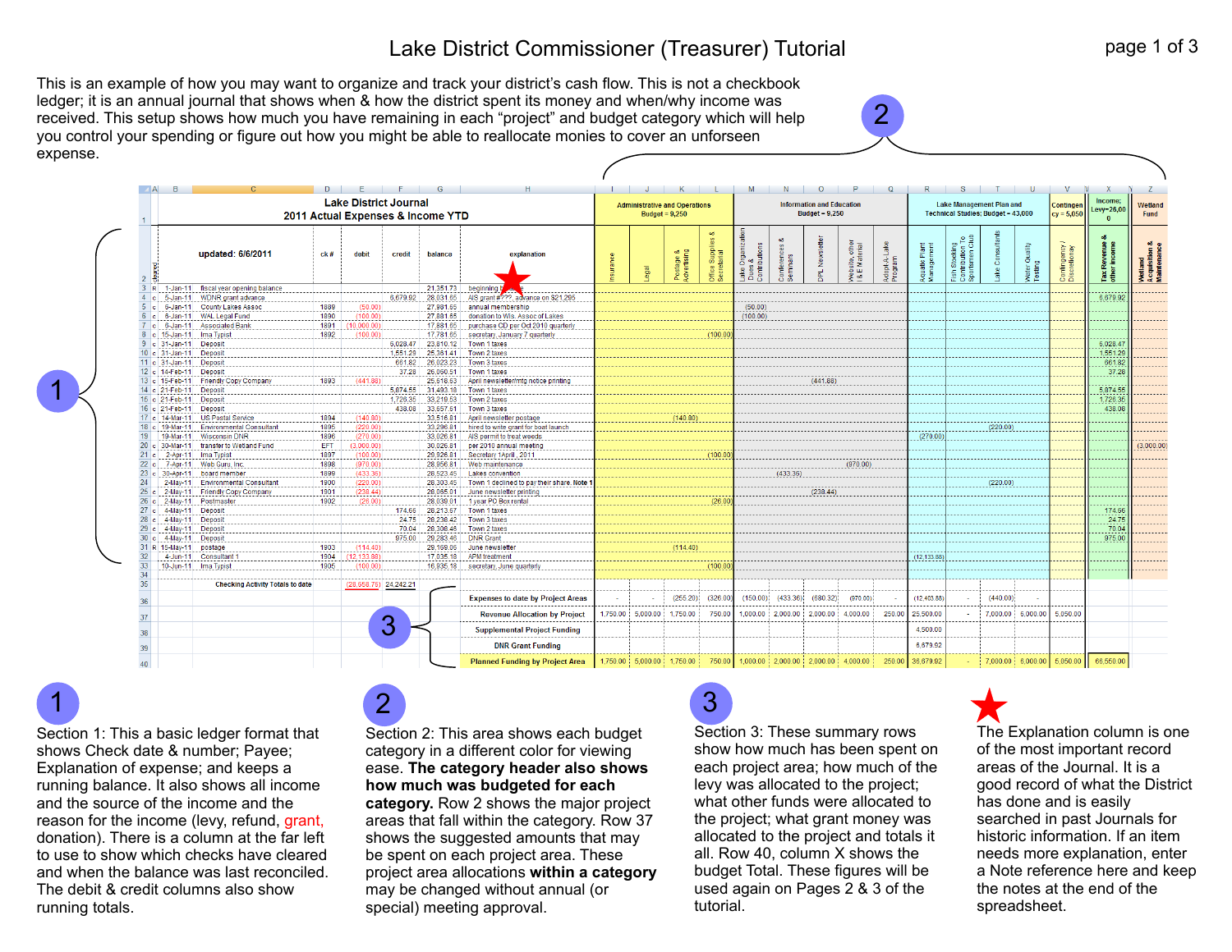## Lake District Commissioner (Treasurer) Tutorial

This is an example of how you may want to organize and track your district's cash flow. This is not a checkbook ledger; it is an annual journal that shows when & how the district spent its money and when/why income was received. This setup shows how much you have remaining in each "project" and budget category which will help you control your spending or figure out how you might be able to reallocate monies to cover an unforseen expense.

| <b>Lake District Journal</b><br>2011 Actual Expenses & Income YTD |                                                                 |              |                         |          |                        |                                                  |  | <b>Administrative and Operations</b><br>Budget = $9,250$ |                          |                                                     |                        | <b>Information and Education</b><br>Budget = $9,250$ |                            |                                |                        |                                   | <b>Lake Management Plan and</b><br><b>Technical Studies: Budget = 43,000</b>            |          |                          |                               | Income:<br>Levy=26,00       | Wetland<br>Fund                      |
|-------------------------------------------------------------------|-----------------------------------------------------------------|--------------|-------------------------|----------|------------------------|--------------------------------------------------|--|----------------------------------------------------------|--------------------------|-----------------------------------------------------|------------------------|------------------------------------------------------|----------------------------|--------------------------------|------------------------|-----------------------------------|-----------------------------------------------------------------------------------------|----------|--------------------------|-------------------------------|-----------------------------|--------------------------------------|
|                                                                   | updated: 6/6/2011                                               | ck#          | debit                   | credit   | balance                | explanation                                      |  | lege                                                     | Postage &<br>Advertising | oð<br>$\frac{92}{21}$<br>Suppli<br>tarial<br>office | Lake Organization<br>8 | Conferenc<br>Seminars                                | Newslett<br>B <sup>1</sup> | Website, other<br>I&E Material | Adopt-ALake<br>Program | Pian<br>Aquatic Plar<br>Managemer | ∩Stocking<br>tribution To<br>rtsmen Club<br>Fish Stockin<br>Contribution<br>Sportsmen ( | š        | Water Quality<br>Testing | Contingency /<br>Discretionay | Tax Revenue<br>other income | Wetland<br>Acquisition<br>Maintenanc |
| 3 R                                                               | 1-Jan-11 fiscal year opening balance                            |              |                         |          | 21,351.73              | beginning b                                      |  |                                                          |                          |                                                     |                        |                                                      |                            |                                |                        |                                   |                                                                                         |          |                          |                               |                             |                                      |
|                                                                   | c 5-Jan-11 WDNR grant advance                                   |              |                         |          | 6.679.92 28.031.65     | AIS grant #???, advance on \$21,295              |  |                                                          |                          |                                                     |                        |                                                      |                            |                                |                        |                                   |                                                                                         |          |                          |                               | 6.679.92                    |                                      |
|                                                                   | c 6-Jan-11 County Lakes Assoc                                   | 1889         | (50.00)                 |          | 27,981.65              | annual membership                                |  |                                                          |                          |                                                     | (50.00)                |                                                      |                            |                                |                        |                                   |                                                                                         |          |                          |                               |                             |                                      |
|                                                                   | 6 c 6-Jan-11 WAL Legal Fund                                     | 1890         | (100.00)                |          | 27,881.65              | donation to Wis. Assoc of Lakes                  |  |                                                          |                          |                                                     | (100.00)               |                                                      |                            |                                |                        |                                   |                                                                                         |          |                          |                               |                             |                                      |
|                                                                   | c 6-Jan-11 Associated Bank                                      | 1891         | (10,000.00)             |          | 17,881.65              | purchase CD per Oct 2010 quarterly               |  |                                                          |                          |                                                     |                        |                                                      |                            |                                |                        |                                   |                                                                                         |          |                          |                               |                             |                                      |
|                                                                   | 8 c 15-Jan-11 Ima Typist                                        | 1892         | (100.00)                |          | 17,781.65              | secretary, January 7 quarterly                   |  |                                                          |                          | (100.00)                                            |                        |                                                      |                            |                                |                        |                                   |                                                                                         |          |                          |                               |                             |                                      |
| 9 c 31-Jan-11                                                     | Deposit                                                         |              |                         | 6.028.47 | 23.810.12              | Town 1 taxes                                     |  |                                                          |                          |                                                     |                        |                                                      |                            |                                |                        |                                   |                                                                                         |          |                          |                               | 6.028.47                    |                                      |
| 10 c 31-Jan-11 Deposit                                            |                                                                 |              |                         | 1.551.29 | 25.361.41              | Town 2 taxes                                     |  |                                                          |                          |                                                     |                        |                                                      |                            |                                |                        |                                   |                                                                                         |          |                          |                               | 1.551.29                    |                                      |
| 11 c 31-Jan-11 Deposit                                            |                                                                 |              |                         |          | 661.82 26.023.23       | Town 3 taxes                                     |  |                                                          |                          |                                                     |                        |                                                      |                            |                                |                        |                                   |                                                                                         |          |                          |                               | 661.82                      |                                      |
| 12 c 14-Feb-11 Deposit                                            |                                                                 |              |                         |          |                        | 37.28 26,060.51 Town 1 taxes                     |  |                                                          |                          |                                                     |                        |                                                      |                            |                                |                        |                                   |                                                                                         |          |                          |                               | 37.28                       |                                      |
|                                                                   | 13 c 15-Feb-11 Friendly Copy Company                            | 1893         | (441.88)                |          | 25,618.63              | April newsletter/mtg notice printing             |  |                                                          |                          |                                                     |                        |                                                      | (441.88)                   |                                |                        |                                   |                                                                                         |          |                          |                               |                             |                                      |
|                                                                   | 14 c 21-Feb-11 Deposit                                          |              |                         |          | 5,874.55 31,493.18     | Town 1 taxes                                     |  |                                                          |                          |                                                     |                        |                                                      |                            |                                |                        |                                   |                                                                                         |          |                          |                               | 5,874.55                    |                                      |
| 15 c 21-Feb-11 Deposit                                            |                                                                 |              |                         | 1.726.35 | 33,219.53              | Town 2 taxes                                     |  |                                                          |                          |                                                     |                        |                                                      |                            |                                |                        |                                   |                                                                                         |          |                          |                               | 1,726.35                    |                                      |
| 16 c 21-Feb-11 Deposit                                            |                                                                 |              |                         | 438.08   | 33,657.61              | Town 3 taxes                                     |  |                                                          |                          |                                                     |                        |                                                      |                            |                                |                        |                                   |                                                                                         |          |                          |                               | 438.08                      |                                      |
| 17 c 14-Mar-11                                                    | <b>US Postal Service</b>                                        | 1894         | (140.80)                |          | 33.516.81              | April newsletter postage                         |  |                                                          | (140.80)                 |                                                     |                        |                                                      |                            |                                |                        |                                   |                                                                                         |          |                          |                               |                             |                                      |
|                                                                   | 18 c 19-Mar-11 Environmental Consultant                         | 1895         | (220.00)                |          | 33,296.81              | hired to write grant for boat launch             |  |                                                          |                          |                                                     |                        |                                                      |                            |                                |                        |                                   |                                                                                         | (220.00) |                          |                               |                             |                                      |
|                                                                   | 19-Mar-11 Wisconsin DNR                                         | 1896         | (270.00)                |          | 33,026.81              | AIS permit to treat weeds                        |  |                                                          |                          |                                                     |                        |                                                      |                            |                                |                        | (270.00)                          |                                                                                         |          |                          |                               |                             |                                      |
|                                                                   | 20 c 30-Mar-11 transfer to Wetland Fund                         | EFT          | (3,000.00)              |          | 30,026.81              | per 2010 annual meeting                          |  |                                                          |                          |                                                     |                        |                                                      |                            |                                |                        |                                   |                                                                                         |          |                          |                               |                             | (3,000.00)                           |
|                                                                   | 2-Apr-11 Ima Typist                                             | 1897         | (100.00)                |          | 29.926.81              | Secretary 1April, 2011                           |  |                                                          |                          | (100.00)                                            |                        |                                                      |                            |                                |                        |                                   |                                                                                         |          |                          |                               |                             |                                      |
|                                                                   | 7-Apr-11 Web Guru, Inc.                                         | 1898         | (970.00)                |          | 28.956.81              | Web maintenance                                  |  |                                                          |                          |                                                     |                        |                                                      |                            | (970.00)                       |                        |                                   |                                                                                         |          |                          |                               |                             |                                      |
|                                                                   | 23 c 30-Apr-11 board member                                     | 1899         | (433.36)                |          | 28.523.45              | <b>Lakes convention</b>                          |  |                                                          |                          |                                                     |                        | (433.36)                                             |                            |                                |                        |                                   |                                                                                         |          |                          |                               |                             |                                      |
|                                                                   | 2-May-11 Environmental Consultant                               | 1900         | (220.00)                |          | 28.303.45              | Town 1 declined to pay their share. Note 1       |  |                                                          |                          |                                                     |                        |                                                      |                            |                                |                        |                                   |                                                                                         | (220.00) |                          |                               |                             |                                      |
|                                                                   | 25 c 2-May-11 Friendly Copy Company<br>26 c 2-May-11 Postmaster | 1901<br>1902 | (238.44)<br>(26.00)     |          | 28.065.01<br>28,039.01 | June newsletter printing<br>1 year PO Box rental |  |                                                          |                          | (26.00)                                             |                        |                                                      | (238.44)                   |                                |                        |                                   |                                                                                         |          |                          |                               |                             |                                      |
|                                                                   |                                                                 |              |                         | 174.66   | 28,213.67              | Town 1 taxes                                     |  |                                                          |                          |                                                     |                        |                                                      |                            |                                |                        |                                   |                                                                                         |          |                          |                               | 174.66                      |                                      |
| 28 c 4-May-11                                                     | 27 c 4-May-11 Deposit                                           |              |                         | 24.75    |                        | 28,238.42 Town 3 taxes                           |  |                                                          |                          |                                                     |                        |                                                      |                            |                                |                        |                                   |                                                                                         |          |                          |                               | 24.75                       |                                      |
|                                                                   | Deposit<br>29 c 4-May-11 Deposit                                |              |                         | 70.04    | 28,308.46              | Town 2 taxes                                     |  |                                                          |                          |                                                     |                        |                                                      |                            |                                |                        |                                   |                                                                                         |          |                          |                               | 70.04                       |                                      |
| 30 c 4-May-11                                                     | Deposit                                                         |              |                         |          | 975.00 29,283.46       | <b>DNR Grant</b>                                 |  |                                                          |                          |                                                     |                        |                                                      |                            |                                |                        |                                   |                                                                                         |          |                          |                               | 975.00                      |                                      |
| 31 R 15-May-11 postage                                            |                                                                 | 1903         | (114.40)                |          | 29.169.06              | June newsletter                                  |  |                                                          | (114.40)                 |                                                     |                        |                                                      |                            |                                |                        |                                   |                                                                                         |          |                          |                               |                             |                                      |
| 4-Jun-11                                                          | <b>Consultant 1</b>                                             | 1904         | (12.133.88)             |          | 17,035.18              | <b>APM</b> treatment                             |  |                                                          |                          |                                                     |                        |                                                      |                            |                                |                        | (12.133.88)                       |                                                                                         |          |                          |                               |                             |                                      |
|                                                                   | 10-Jun-11 Ima Typist                                            | 1905         | (100.00)                |          |                        | 16,935.18 secretary, June quarterly              |  |                                                          |                          | (100.00)                                            |                        |                                                      |                            |                                |                        |                                   |                                                                                         |          |                          |                               |                             |                                      |
|                                                                   |                                                                 |              |                         |          |                        |                                                  |  |                                                          |                          |                                                     |                        |                                                      |                            |                                |                        |                                   |                                                                                         |          |                          |                               |                             |                                      |
|                                                                   | <b>Checking Activity Totals to date</b>                         |              | $(28,658.76)$ 24,242.21 |          |                        |                                                  |  |                                                          |                          |                                                     |                        |                                                      |                            |                                |                        |                                   |                                                                                         |          |                          |                               |                             |                                      |
|                                                                   |                                                                 |              |                         |          |                        |                                                  |  |                                                          |                          |                                                     |                        |                                                      |                            |                                |                        |                                   |                                                                                         |          |                          |                               |                             |                                      |
|                                                                   |                                                                 |              |                         |          |                        | <b>Expenses to date by Project Areas</b>         |  |                                                          | (255.20)                 | (326.00)                                            | (150.00)               | (433.36)                                             | (680.32)                   | (970.00)                       |                        | (12, 403.88)                      |                                                                                         | (440.00) |                          |                               |                             |                                      |
|                                                                   |                                                                 |              |                         |          |                        | <b>Revenue Allocation by Project</b>             |  | 1,750.00 5,000.00                                        | 1,750.00                 | 750.00                                              | 1,000.00               | 2,000.00                                             | 2,000.00                   | 4,000.00                       | 250.00                 | 25,500.00                         |                                                                                         | 7,000.00 | 6,000.00                 | 5,050.00                      |                             |                                      |
|                                                                   |                                                                 |              |                         | З        |                        | <b>Supplemental Project Funding</b>              |  |                                                          |                          |                                                     |                        |                                                      |                            |                                |                        | 4,500.00                          |                                                                                         |          |                          |                               |                             |                                      |
|                                                                   |                                                                 |              |                         |          |                        |                                                  |  |                                                          |                          |                                                     |                        |                                                      |                            |                                |                        |                                   |                                                                                         |          |                          |                               |                             |                                      |
|                                                                   |                                                                 |              |                         |          |                        | <b>DNR Grant Funding</b>                         |  |                                                          |                          |                                                     |                        |                                                      |                            |                                |                        | 6.679.92                          |                                                                                         |          |                          |                               |                             |                                      |

Section 1: This a basic ledger format that shows Check date & number; Payee; Explanation of expense; and keeps a running balance. It also shows all income and the source of the income and the reason for the income (levy, refund, grant, donation). There is a column at the far left to use to show which checks have cleared and when the balance was last reconciled. The debit & credit columns also show running totals.

1

1

Section 2: This area shows each budget category in a different color for viewing ease. **The category header also shows how much was budgeted for each category.** Row 2 shows the major project areas that fall within the category. Row 37 shows the suggested amounts that may be spent on each project area. These project area allocations **within a category** may be changed without annual (or special) meeting approval.

## 2 3

Section 3: These summary rows show how much has been spent on each project area; how much of the levy was allocated to the project; what other funds were allocated to the project; what grant money was allocated to the project and totals it all. Row 40, column X shows the budget Total. These figures will be used again on Pages 2 & 3 of the tutorial.

2

The Explanation column is one of the most important record areas of the Journal. It is a good record of what the District has done and is easily searched in past Journals for historic information. If an item needs more explanation, enter a Note reference here and keep the notes at the end of the spreadsheet.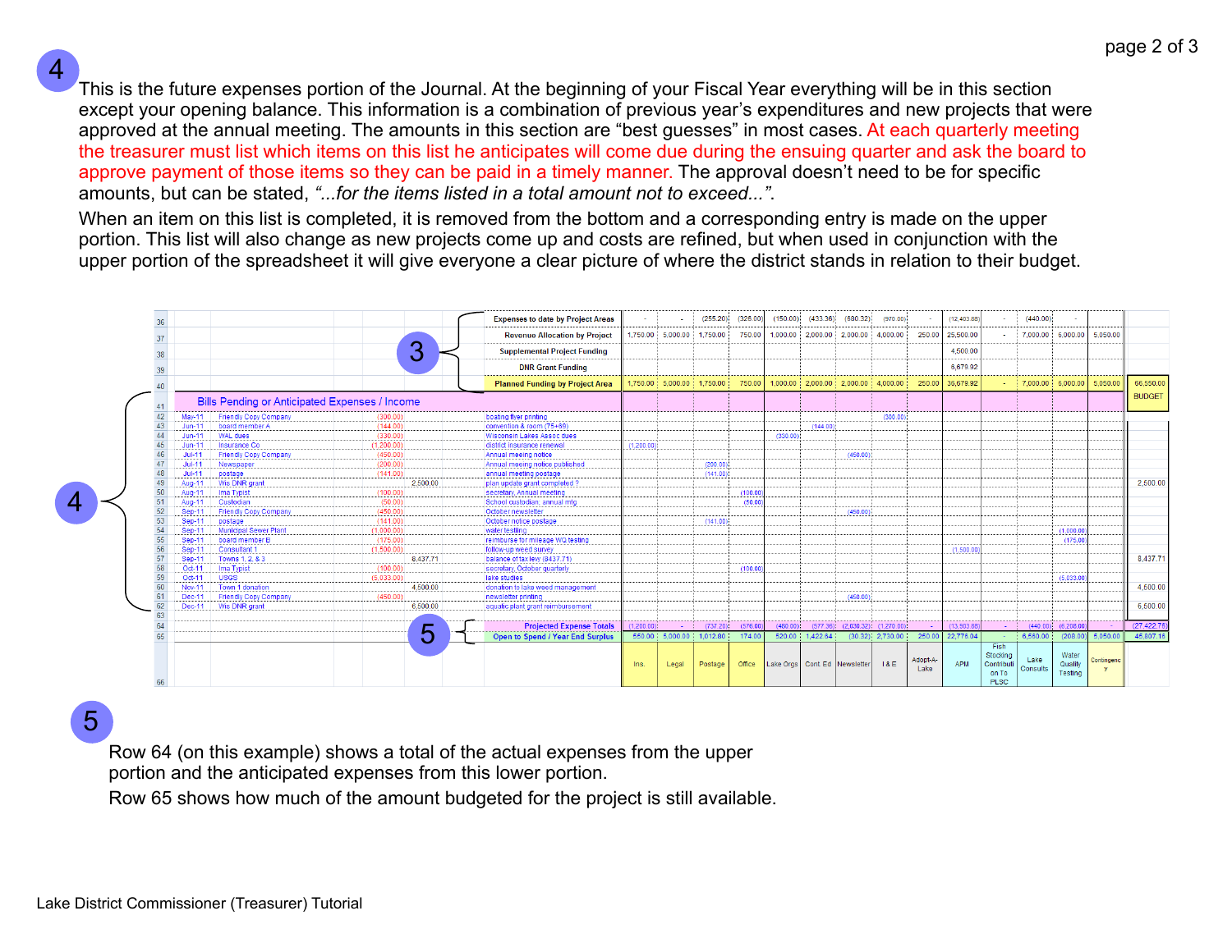This is the future expenses portion of the Journal. At the beginning of your Fiscal Year everything will be in this section except your opening balance. This information is a combination of previous year's expenditures and new projects that were approved at the annual meeting. The amounts in this section are "best guesses" in most cases. At each quarterly meeting the treasurer must list which items on this list he anticipates will come due during the ensuing quarter and ask the board to approve payment of those items so they can be paid in a timely manner. The approval doesn't need to be for specific amounts, but can be stated, *"...for the items listed in a total amount not to exceed..."*.

When an item on this list is completed, it is removed from the bottom and a corresponding entry is made on the upper portion. This list will also change as new projects come up and costs are refined, but when used in conjunction with the upper portion of the spreadsheet it will give everyone a clear picture of where the district stands in relation to their budget.



5

4

Row 64 (on this example) shows a total of the actual expenses from the upper

portion and the anticipated expenses from this lower portion.

Row 65 shows how much of the amount budgeted for the project is still available.